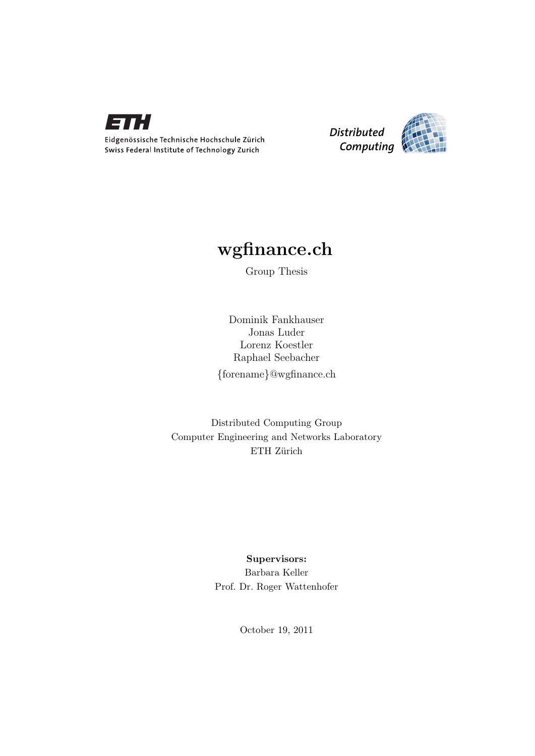

Eidgenössische Technische Hochschule Zürich Swiss Federal Institute of Technology Zurich



## wgfinance.ch

Group Thesis

Dominik Fankhauser Jonas Luder Lorenz Koestler Raphael Seebacher {forename}@wgfinance.ch

Distributed Computing Group Computer Engineering and Networks Laboratory ETH Zürich

## Supervisors: Barbara Keller Prof. Dr. Roger Wattenhofer

October 19, 2011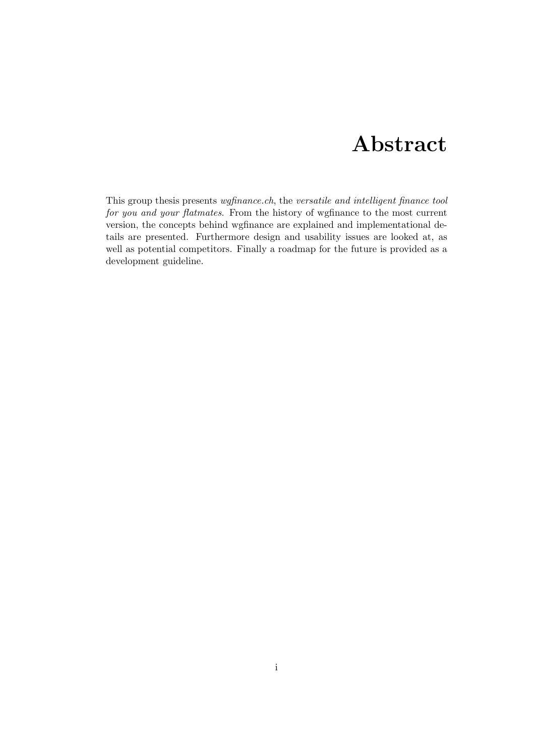## Abstract

<span id="page-1-0"></span>This group thesis presents wgfinance.ch, the versatile and intelligent finance tool for you and your flatmates. From the history of wgfinance to the most current version, the concepts behind wgfinance are explained and implementational details are presented. Furthermore design and usability issues are looked at, as well as potential competitors. Finally a roadmap for the future is provided as a development guideline.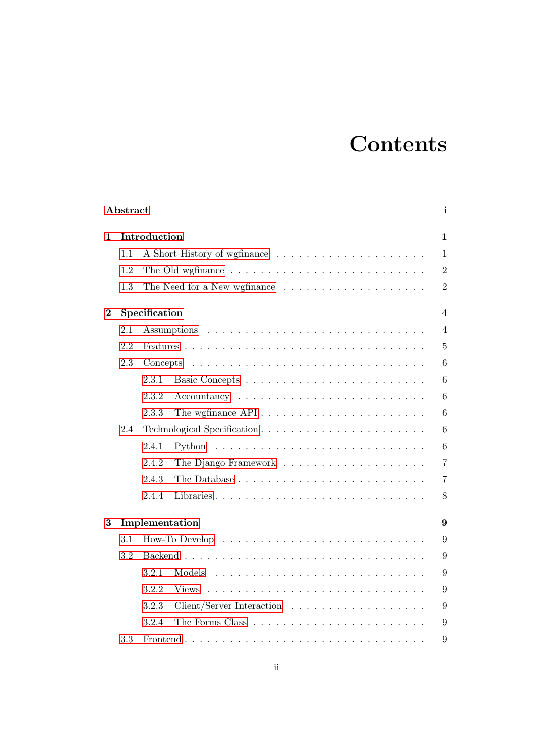# **Contents**

|                  | Abstract       |                             |                                                                              | i               |  |  |
|------------------|----------------|-----------------------------|------------------------------------------------------------------------------|-----------------|--|--|
| 1                | Introduction   |                             |                                                                              |                 |  |  |
|                  | 1.1            |                             |                                                                              | $\mathbf{1}$    |  |  |
|                  | 1.2            |                             |                                                                              | $\overline{2}$  |  |  |
|                  | 1.3            |                             |                                                                              | $\overline{2}$  |  |  |
| $\boldsymbol{2}$ | Specification  |                             |                                                                              |                 |  |  |
|                  | 2.1            |                             |                                                                              | $\overline{4}$  |  |  |
|                  | 2.2            |                             |                                                                              | $\overline{5}$  |  |  |
|                  | 2.3            | Concepts                    |                                                                              | 6               |  |  |
|                  |                | 2.3.1                       |                                                                              | $6\phantom{.}6$ |  |  |
|                  |                | 2.3.2                       |                                                                              | $6\phantom{.}6$ |  |  |
|                  |                | 2.3.3                       |                                                                              | $6\phantom{.}6$ |  |  |
|                  | 2.4            | Technological Specification |                                                                              | 6               |  |  |
|                  |                | 2.4.1                       |                                                                              | $6\phantom{.}6$ |  |  |
|                  |                | 2.4.2                       |                                                                              | $\overline{7}$  |  |  |
|                  |                | 2.4.3                       |                                                                              | $\overline{7}$  |  |  |
|                  |                | 2.4.4                       | Libraries                                                                    | $8\,$           |  |  |
| $\bf{3}$         | Implementation |                             |                                                                              |                 |  |  |
|                  | 3.1            |                             |                                                                              |                 |  |  |
|                  | 3.2            |                             |                                                                              |                 |  |  |
|                  |                | 3.2.1                       | Models                                                                       | 9               |  |  |
|                  |                | 3.2.2                       | Views                                                                        | 9               |  |  |
|                  |                | 3.2.3                       | $Client/Server\text{ Interaction} \dots \dots \dots \dots \dots \dots \dots$ | 9               |  |  |
|                  |                | 3.2.4                       |                                                                              | 9               |  |  |
|                  | 3.3            |                             |                                                                              | 9               |  |  |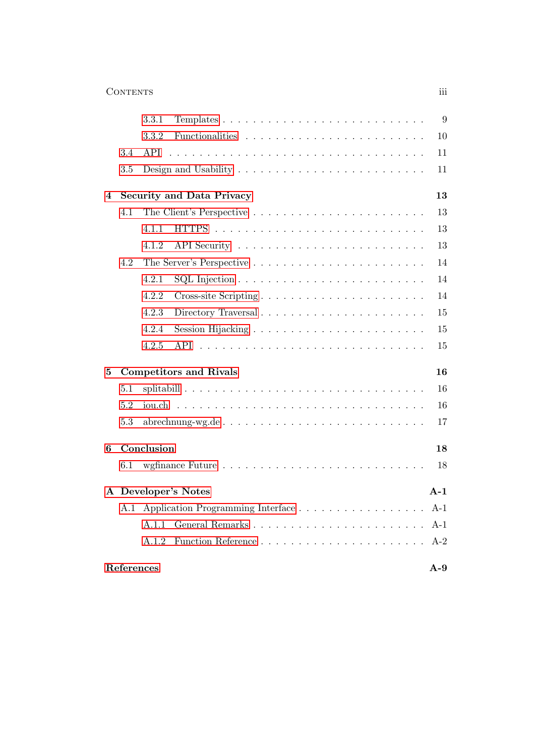### Contents iii

|                     |            | 3.3.1                                                                                   | 9     |  |  |  |
|---------------------|------------|-----------------------------------------------------------------------------------------|-------|--|--|--|
|                     |            | 3.3.2                                                                                   | 10    |  |  |  |
|                     | 3.4        | API                                                                                     | 11    |  |  |  |
|                     | 3.5        | Design and Usability $\dots \dots \dots \dots \dots \dots \dots \dots \dots$            | 11    |  |  |  |
| $\overline{4}$      |            | <b>Security and Data Privacy</b>                                                        |       |  |  |  |
|                     | 4.1        |                                                                                         | 13    |  |  |  |
|                     |            | 4.1.1                                                                                   | 13    |  |  |  |
|                     |            | 4.1.2                                                                                   | 13    |  |  |  |
|                     | 4.2        |                                                                                         | 14    |  |  |  |
|                     |            | 4.2.1<br>$\text{SQL injection} \ldots \ldots \ldots \ldots \ldots \ldots \ldots \ldots$ | 14    |  |  |  |
|                     |            | 4.2.2                                                                                   | 14    |  |  |  |
|                     |            | 4.2.3<br>Directory Traversal                                                            | 15    |  |  |  |
|                     |            | 4.2.4                                                                                   | 15    |  |  |  |
|                     |            | 4.2.5<br>API                                                                            | 15    |  |  |  |
| 5                   |            | <b>Competitors and Rivals</b>                                                           | 16    |  |  |  |
|                     | 5.1        |                                                                                         | 16    |  |  |  |
|                     | 5.2        | iou.ch-                                                                                 | 16    |  |  |  |
|                     | 5.3        | abrechnung-wg.de                                                                        | 17    |  |  |  |
| 6                   | Conclusion |                                                                                         |       |  |  |  |
|                     | 6.1        |                                                                                         | 18    |  |  |  |
|                     |            | A Developer's Notes                                                                     |       |  |  |  |
|                     | A.1        |                                                                                         | $A-1$ |  |  |  |
|                     |            | A.1.1                                                                                   | $A-1$ |  |  |  |
|                     |            | A.1.2                                                                                   | $A-2$ |  |  |  |
| References<br>$A-9$ |            |                                                                                         |       |  |  |  |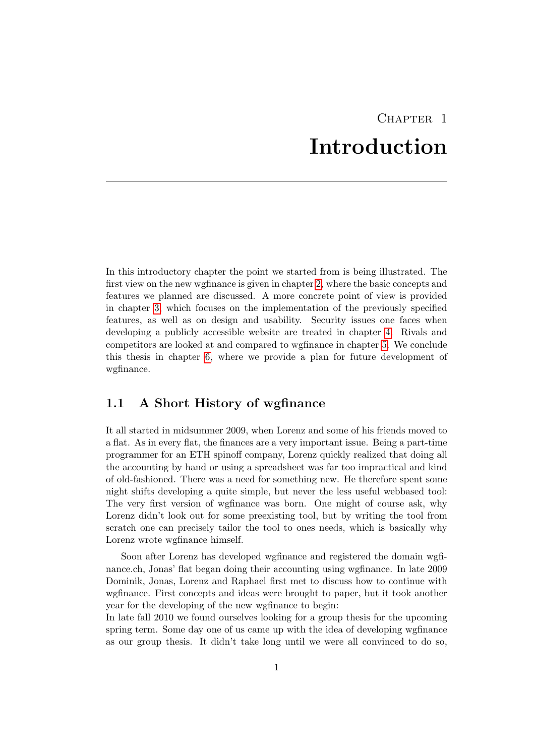## CHAPTER<sub>1</sub> Introduction

<span id="page-4-0"></span>In this introductory chapter the point we started from is being illustrated. The first view on the new wgfinance is given in chapter [2,](#page-7-0) where the basic concepts and features we planned are discussed. A more concrete point of view is provided in chapter [3,](#page-12-0) which focuses on the implementation of the previously specified features, as well as on design and usability. Security issues one faces when developing a publicly accessible website are treated in chapter [4.](#page-16-0) Rivals and competitors are looked at and compared to wgfinance in chapter [5.](#page-19-0) We conclude this thesis in chapter [6,](#page-21-0) where we provide a plan for future development of wgfinance.

## <span id="page-4-1"></span>1.1 A Short History of wgfinance

It all started in midsummer 2009, when Lorenz and some of his friends moved to a flat. As in every flat, the finances are a very important issue. Being a part-time programmer for an ETH spinoff company, Lorenz quickly realized that doing all the accounting by hand or using a spreadsheet was far too impractical and kind of old-fashioned. There was a need for something new. He therefore spent some night shifts developing a quite simple, but never the less useful webbased tool: The very first version of wgfinance was born. One might of course ask, why Lorenz didn't look out for some preexisting tool, but by writing the tool from scratch one can precisely tailor the tool to ones needs, which is basically why Lorenz wrote wgfinance himself.

Soon after Lorenz has developed wgfinance and registered the domain wgfinance.ch, Jonas' flat began doing their accounting using wgfinance. In late 2009 Dominik, Jonas, Lorenz and Raphael first met to discuss how to continue with wgfinance. First concepts and ideas were brought to paper, but it took another year for the developing of the new wgfinance to begin:

In late fall 2010 we found ourselves looking for a group thesis for the upcoming spring term. Some day one of us came up with the idea of developing wgfinance as our group thesis. It didn't take long until we were all convinced to do so,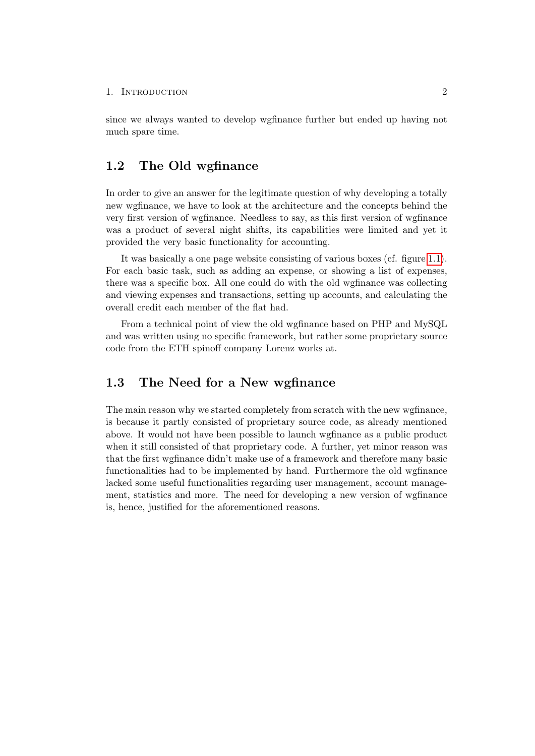#### 1. INTRODUCTION 2

since we always wanted to develop wgfinance further but ended up having not much spare time.

### <span id="page-5-0"></span>1.2 The Old wgfinance

In order to give an answer for the legitimate question of why developing a totally new wgfinance, we have to look at the architecture and the concepts behind the very first version of wgfinance. Needless to say, as this first version of wgfinance was a product of several night shifts, its capabilities were limited and yet it provided the very basic functionality for accounting.

It was basically a one page website consisting of various boxes (cf. figure [1.1\)](#page-6-0). For each basic task, such as adding an expense, or showing a list of expenses, there was a specific box. All one could do with the old wgfinance was collecting and viewing expenses and transactions, setting up accounts, and calculating the overall credit each member of the flat had.

From a technical point of view the old wgfinance based on PHP and MySQL and was written using no specific framework, but rather some proprietary source code from the ETH spinoff company Lorenz works at.

### <span id="page-5-1"></span>1.3 The Need for a New wgfinance

The main reason why we started completely from scratch with the new wgfinance, is because it partly consisted of proprietary source code, as already mentioned above. It would not have been possible to launch wgfinance as a public product when it still consisted of that proprietary code. A further, yet minor reason was that the first wgfinance didn't make use of a framework and therefore many basic functionalities had to be implemented by hand. Furthermore the old wgfinance lacked some useful functionalities regarding user management, account management, statistics and more. The need for developing a new version of wgfinance is, hence, justified for the aforementioned reasons.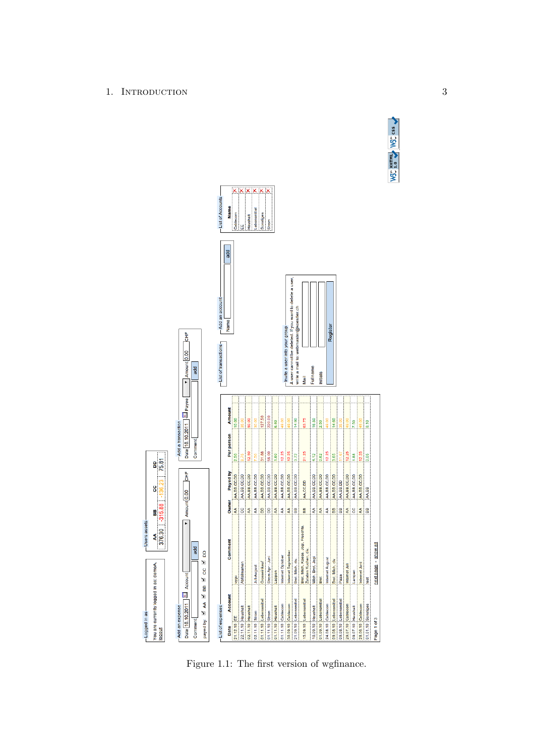

<span id="page-6-0"></span>Figure 1.1: The first version of wgfinance.

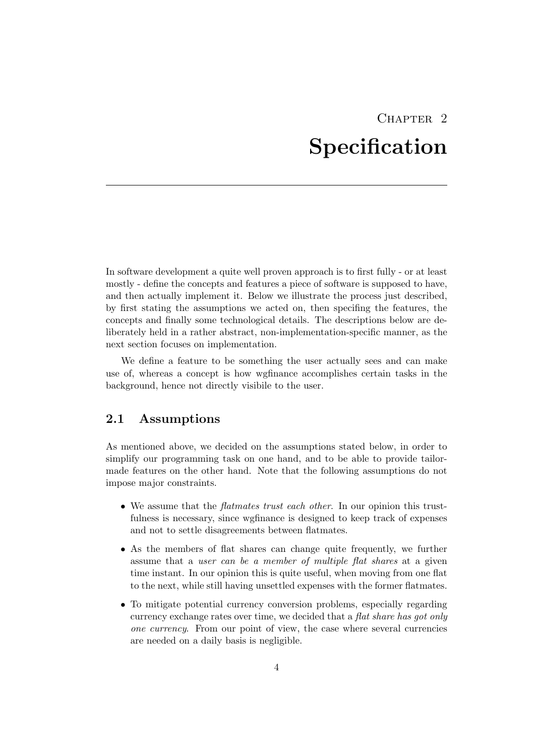## $CHAPTER$  2 Specification

<span id="page-7-0"></span>In software development a quite well proven approach is to first fully - or at least mostly - define the concepts and features a piece of software is supposed to have, and then actually implement it. Below we illustrate the process just described, by first stating the assumptions we acted on, then specifing the features, the concepts and finally some technological details. The descriptions below are deliberately held in a rather abstract, non-implementation-specific manner, as the next section focuses on implementation.

We define a feature to be something the user actually sees and can make use of, whereas a concept is how wgfinance accomplishes certain tasks in the background, hence not directly visibile to the user.

## <span id="page-7-1"></span>2.1 Assumptions

As mentioned above, we decided on the assumptions stated below, in order to simplify our programming task on one hand, and to be able to provide tailormade features on the other hand. Note that the following assumptions do not impose major constraints.

- We assume that the *flatmates trust each other*. In our opinion this trustfulness is necessary, since wgfinance is designed to keep track of expenses and not to settle disagreements between flatmates.
- As the members of flat shares can change quite frequently, we further assume that a user can be a member of multiple flat shares at a given time instant. In our opinion this is quite useful, when moving from one flat to the next, while still having unsettled expenses with the former flatmates.
- To mitigate potential currency conversion problems, especially regarding currency exchange rates over time, we decided that a flat share has got only one currency. From our point of view, the case where several currencies are needed on a daily basis is negligible.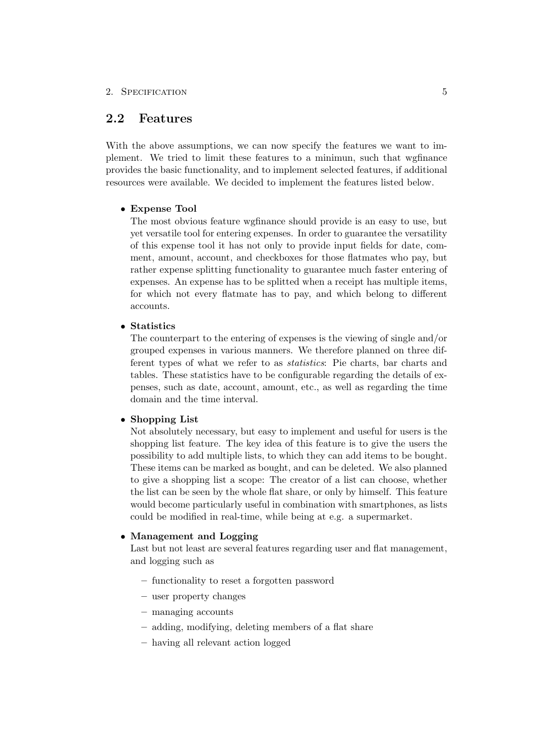### <span id="page-8-0"></span>2.2 Features

With the above assumptions, we can now specify the features we want to implement. We tried to limit these features to a minimun, such that wgfinance provides the basic functionality, and to implement selected features, if additional resources were available. We decided to implement the features listed below.

#### • Expense Tool

The most obvious feature wgfinance should provide is an easy to use, but yet versatile tool for entering expenses. In order to guarantee the versatility of this expense tool it has not only to provide input fields for date, comment, amount, account, and checkboxes for those flatmates who pay, but rather expense splitting functionality to guarantee much faster entering of expenses. An expense has to be splitted when a receipt has multiple items, for which not every flatmate has to pay, and which belong to different accounts.

• Statistics

The counterpart to the entering of expenses is the viewing of single and/or grouped expenses in various manners. We therefore planned on three different types of what we refer to as statistics: Pie charts, bar charts and tables. These statistics have to be configurable regarding the details of expenses, such as date, account, amount, etc., as well as regarding the time domain and the time interval.

#### • Shopping List

Not absolutely necessary, but easy to implement and useful for users is the shopping list feature. The key idea of this feature is to give the users the possibility to add multiple lists, to which they can add items to be bought. These items can be marked as bought, and can be deleted. We also planned to give a shopping list a scope: The creator of a list can choose, whether the list can be seen by the whole flat share, or only by himself. This feature would become particularly useful in combination with smartphones, as lists could be modified in real-time, while being at e.g. a supermarket.

#### • Management and Logging

Last but not least are several features regarding user and flat management, and logging such as

- functionality to reset a forgotten password
- user property changes
- managing accounts
- adding, modifying, deleting members of a flat share
- having all relevant action logged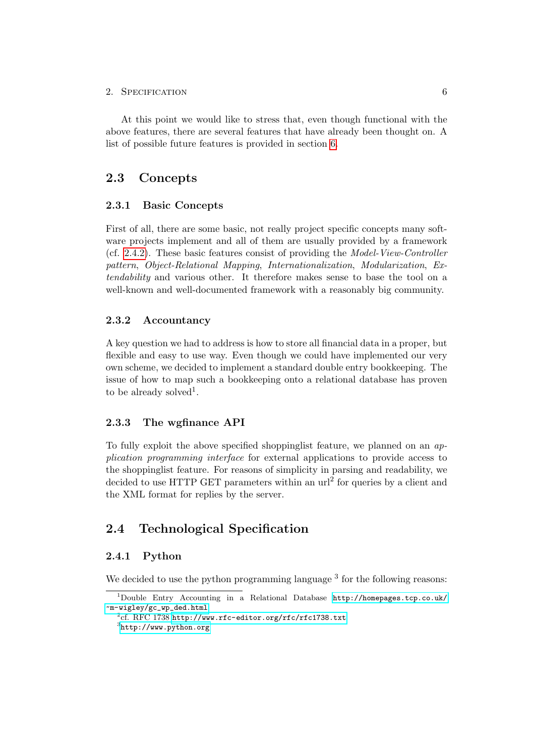At this point we would like to stress that, even though functional with the above features, there are several features that have already been thought on. A list of possible future features is provided in section [6.](#page-21-0)

## <span id="page-9-0"></span>2.3 Concepts

#### <span id="page-9-1"></span>2.3.1 Basic Concepts

First of all, there are some basic, not really project specific concepts many software projects implement and all of them are usually provided by a framework (cf. [2.4.2\)](#page-10-0). These basic features consist of providing the Model-View-Controller pattern, Object-Relational Mapping, Internationalization, Modularization, Extendability and various other. It therefore makes sense to base the tool on a well-known and well-documented framework with a reasonably big community.

#### <span id="page-9-2"></span>2.3.2 Accountancy

A key question we had to address is how to store all financial data in a proper, but flexible and easy to use way. Even though we could have implemented our very own scheme, we decided to implement a standard double entry bookkeeping. The issue of how to map such a bookkeeping onto a relational database has proven to be already solved<sup>1</sup>.

#### <span id="page-9-3"></span>2.3.3 The wgfinance API

To fully exploit the above specified shoppinglist feature, we planned on an application programming interface for external applications to provide access to the shoppinglist feature. For reasons of simplicity in parsing and readability, we decided to use HTTP GET parameters within an url<sup>2</sup> for queries by a client and the XML format for replies by the server.

## <span id="page-9-4"></span>2.4 Technological Specification

#### <span id="page-9-5"></span>2.4.1 Python

We decided to use the python programming language  $3$  for the following reasons:

<sup>1</sup>Double Entry Accounting in a Relational Database [http://homepages.tcp.co.uk/](http://homepages.tcp.co.uk/~m-wigley/gc_wp_ded.html) [~m-wigley/gc\\_wp\\_ded.html](http://homepages.tcp.co.uk/~m-wigley/gc_wp_ded.html)

 $^2$ cf. RFC 1738 <http://www.rfc-editor.org/rfc/rfc1738.txt>

 ${}^{3}$ <http://www.python.org>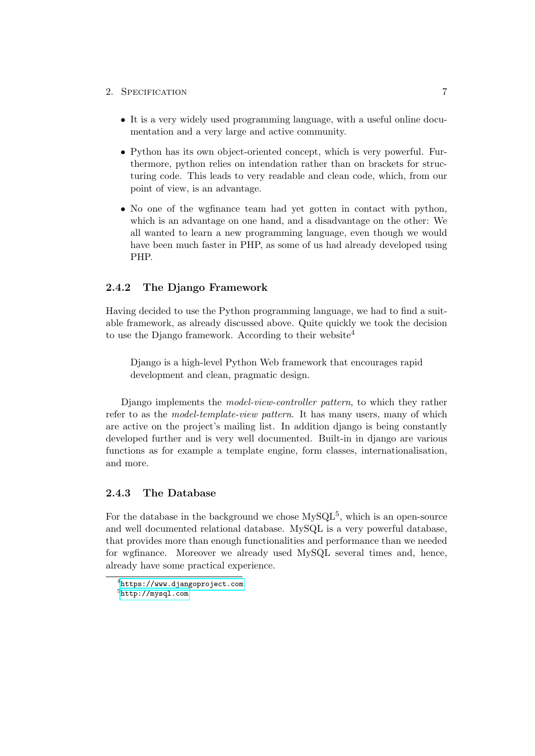- It is a very widely used programming language, with a useful online documentation and a very large and active community.
- Python has its own object-oriented concept, which is very powerful. Furthermore, python relies on intendation rather than on brackets for structuring code. This leads to very readable and clean code, which, from our point of view, is an advantage.
- No one of the wgfinance team had yet gotten in contact with python, which is an advantage on one hand, and a disadvantage on the other: We all wanted to learn a new programming language, even though we would have been much faster in PHP, as some of us had already developed using PHP.

#### <span id="page-10-0"></span>2.4.2 The Django Framework

Having decided to use the Python programming language, we had to find a suitable framework, as already discussed above. Quite quickly we took the decision to use the Django framework. According to their website<sup>4</sup>

Django is a high-level Python Web framework that encourages rapid development and clean, pragmatic design.

Django implements the model-view-controller pattern, to which they rather refer to as the *model-template-view pattern*. It has many users, many of which are active on the project's mailing list. In addition django is being constantly developed further and is very well documented. Built-in in django are various functions as for example a template engine, form classes, internationalisation, and more.

#### <span id="page-10-1"></span>2.4.3 The Database

For the database in the background we chose  $M_ySQL^5$ , which is an open-source and well documented relational database. MySQL is a very powerful database, that provides more than enough functionalities and performance than we needed for wgfinance. Moreover we already used MySQL several times and, hence, already have some practical experience.

 $^4$ <https://www.djangoproject.com>  $^{5}$ <http://mysql.com>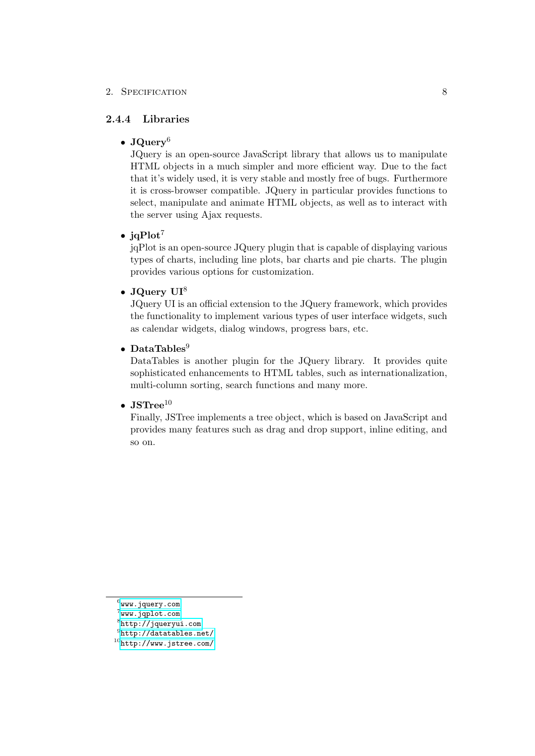#### <span id="page-11-0"></span>2.4.4 Libraries

#### • JQuery<sup>6</sup>

JQuery is an open-source JavaScript library that allows us to manipulate HTML objects in a much simpler and more efficient way. Due to the fact that it's widely used, it is very stable and mostly free of bugs. Furthermore it is cross-browser compatible. JQuery in particular provides functions to select, manipulate and animate HTML objects, as well as to interact with the server using Ajax requests.

#### •  $iqPlot<sup>7</sup>$

jqPlot is an open-source JQuery plugin that is capable of displaying various types of charts, including line plots, bar charts and pie charts. The plugin provides various options for customization.

### • J $Querv$   $UI<sup>8</sup>$

JQuery UI is an official extension to the JQuery framework, which provides the functionality to implement various types of user interface widgets, such as calendar widgets, dialog windows, progress bars, etc.

### • DataTables<sup>9</sup>

DataTables is another plugin for the JQuery library. It provides quite sophisticated enhancements to HTML tables, such as internationalization, multi-column sorting, search functions and many more.

#### • JSTree $^{10}$

Finally, JSTree implements a tree object, which is based on JavaScript and provides many features such as drag and drop support, inline editing, and so on.

 $^6$ <www.jquery.com>

 $^7$ www.j $q$ plot.com

 ${}^{8}$ <http://jqueryui.com>

 $^9$ <http://datatables.net/> <sup>10</sup><http://www.jstree.com/>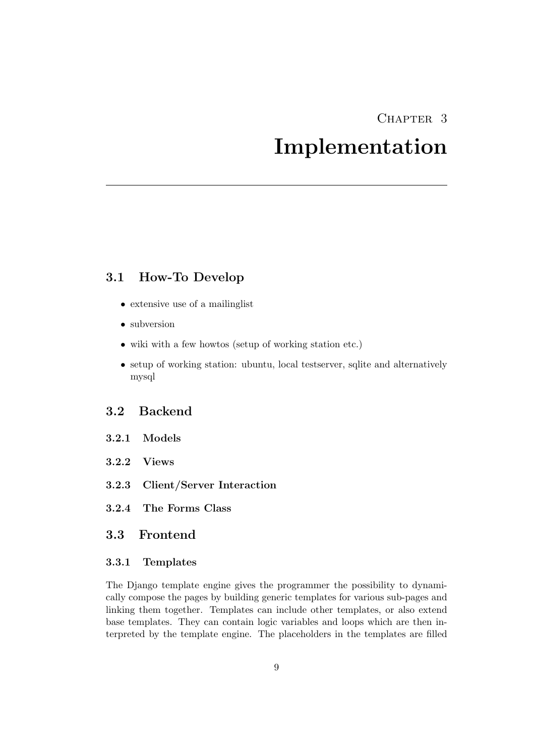## CHAPTER<sub>3</sub>

## Implementation

## <span id="page-12-1"></span><span id="page-12-0"></span>3.1 How-To Develop

- extensive use of a mailinglist
- subversion
- wiki with a few howtos (setup of working station etc.)
- setup of working station: ubuntu, local testserver, sqlite and alternatively mysql

## <span id="page-12-2"></span>3.2 Backend

- <span id="page-12-3"></span>3.2.1 Models
- <span id="page-12-4"></span>3.2.2 Views
- <span id="page-12-5"></span>3.2.3 Client/Server Interaction
- <span id="page-12-6"></span>3.2.4 The Forms Class

### <span id="page-12-7"></span>3.3 Frontend

#### <span id="page-12-8"></span>3.3.1 Templates

The Django template engine gives the programmer the possibility to dynamically compose the pages by building generic templates for various sub-pages and linking them together. Templates can include other templates, or also extend base templates. They can contain logic variables and loops which are then interpreted by the template engine. The placeholders in the templates are filled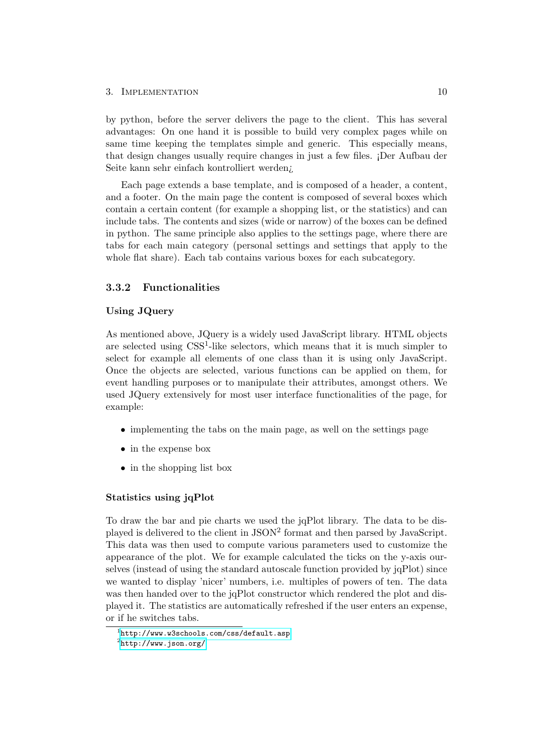#### 3. IMPLEMENTATION 10

by python, before the server delivers the page to the client. This has several advantages: On one hand it is possible to build very complex pages while on same time keeping the templates simple and generic. This especially means, that design changes usually require changes in just a few files. ¡Der Aufbau der Seite kann sehr einfach kontrolliert werden¿

Each page extends a base template, and is composed of a header, a content, and a footer. On the main page the content is composed of several boxes which contain a certain content (for example a shopping list, or the statistics) and can include tabs. The contents and sizes (wide or narrow) of the boxes can be defined in python. The same principle also applies to the settings page, where there are tabs for each main category (personal settings and settings that apply to the whole flat share). Each tab contains various boxes for each subcategory.

#### <span id="page-13-0"></span>3.3.2 Functionalities

#### Using JQuery

As mentioned above, JQuery is a widely used JavaScript library. HTML objects are selected using CSS<sup>1</sup>-like selectors, which means that it is much simpler to select for example all elements of one class than it is using only JavaScript. Once the objects are selected, various functions can be applied on them, for event handling purposes or to manipulate their attributes, amongst others. We used JQuery extensively for most user interface functionalities of the page, for example:

- implementing the tabs on the main page, as well on the settings page
- in the expense box
- in the shopping list box

#### Statistics using jqPlot

To draw the bar and pie charts we used the jqPlot library. The data to be displayed is delivered to the client in JSON<sup>2</sup> format and then parsed by JavaScript. This data was then used to compute various parameters used to customize the appearance of the plot. We for example calculated the ticks on the y-axis ourselves (instead of using the standard autoscale function provided by jqPlot) since we wanted to display 'nicer' numbers, i.e. multiples of powers of ten. The data was then handed over to the jqPlot constructor which rendered the plot and displayed it. The statistics are automatically refreshed if the user enters an expense, or if he switches tabs.

 $^{\rm 1}$ http://www.w $3$ schools.com/css/default.asp

 $^2$ <http://www.json.org/>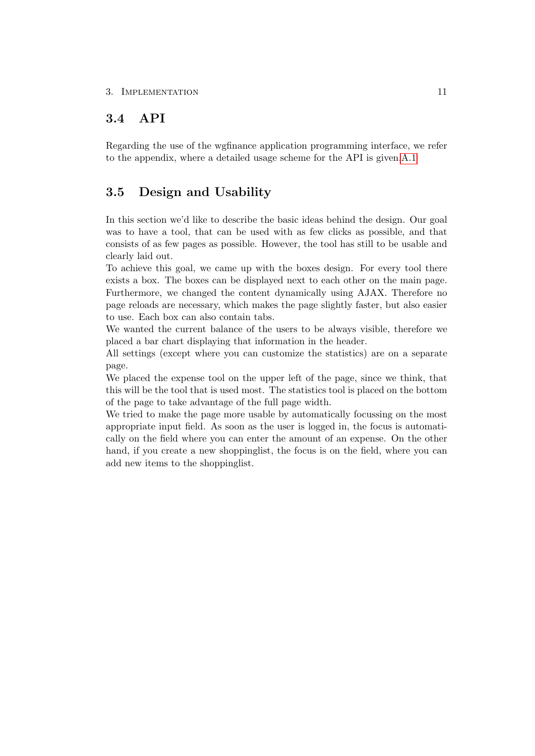## <span id="page-14-0"></span>3.4 API

Regarding the use of the wgfinance application programming interface, we refer to the appendix, where a detailed usage scheme for the API is given[.A.1](#page-23-1)

## <span id="page-14-1"></span>3.5 Design and Usability

In this section we'd like to describe the basic ideas behind the design. Our goal was to have a tool, that can be used with as few clicks as possible, and that consists of as few pages as possible. However, the tool has still to be usable and clearly laid out.

To achieve this goal, we came up with the boxes design. For every tool there exists a box. The boxes can be displayed next to each other on the main page. Furthermore, we changed the content dynamically using AJAX. Therefore no page reloads are necessary, which makes the page slightly faster, but also easier to use. Each box can also contain tabs.

We wanted the current balance of the users to be always visible, therefore we placed a bar chart displaying that information in the header.

All settings (except where you can customize the statistics) are on a separate page.

We placed the expense tool on the upper left of the page, since we think, that this will be the tool that is used most. The statistics tool is placed on the bottom of the page to take advantage of the full page width.

We tried to make the page more usable by automatically focussing on the most appropriate input field. As soon as the user is logged in, the focus is automatically on the field where you can enter the amount of an expense. On the other hand, if you create a new shoppinglist, the focus is on the field, where you can add new items to the shoppinglist.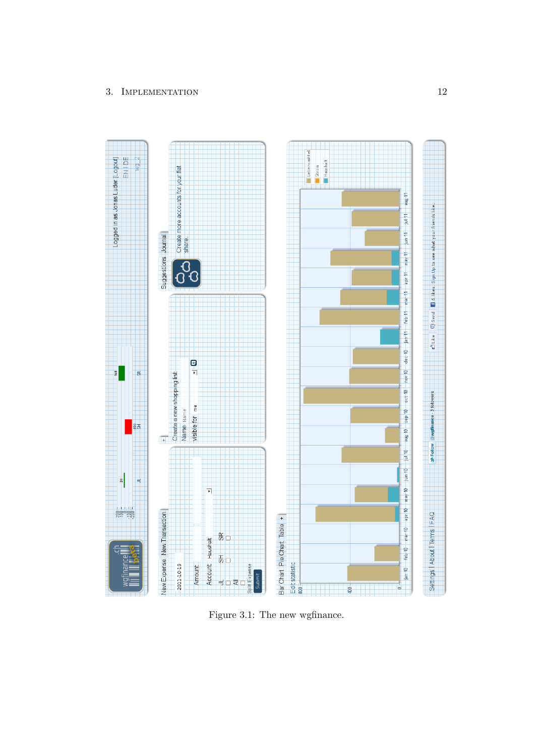### 3. IMPLEMENTATION 12



Figure 3.1: The new wgfinance.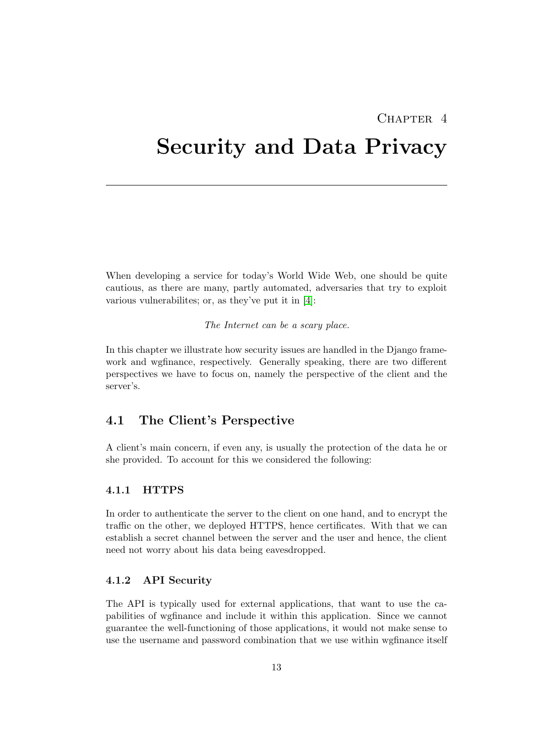## $CHAPTER$  4

## <span id="page-16-0"></span>Security and Data Privacy

When developing a service for today's World Wide Web, one should be quite cautious, as there are many, partly automated, adversaries that try to exploit various vulnerabilites; or, as they've put it in [\[4\]](#page-31-1):

The Internet can be a scary place.

In this chapter we illustrate how security issues are handled in the Django framework and wgfinance, respectively. Generally speaking, there are two different perspectives we have to focus on, namely the perspective of the client and the server's.

## <span id="page-16-1"></span>4.1 The Client's Perspective

A client's main concern, if even any, is usually the protection of the data he or she provided. To account for this we considered the following:

#### <span id="page-16-2"></span>4.1.1 HTTPS

In order to authenticate the server to the client on one hand, and to encrypt the traffic on the other, we deployed HTTPS, hence certificates. With that we can establish a secret channel between the server and the user and hence, the client need not worry about his data being eavesdropped.

#### <span id="page-16-3"></span>4.1.2 API Security

The API is typically used for external applications, that want to use the capabilities of wgfinance and include it within this application. Since we cannot guarantee the well-functioning of those applications, it would not make sense to use the username and password combination that we use within wgfinance itself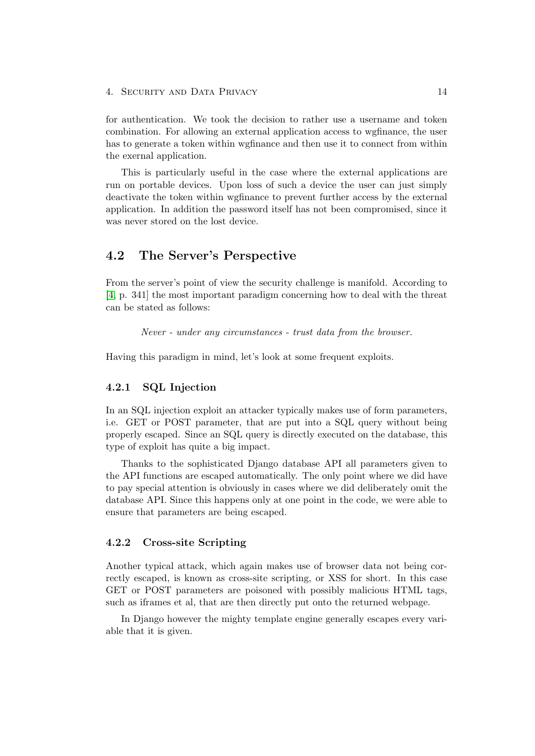#### 4. Security and Data Privacy 14

for authentication. We took the decision to rather use a username and token combination. For allowing an external application access to wgfinance, the user has to generate a token within wgfinance and then use it to connect from within the exernal application.

This is particularly useful in the case where the external applications are run on portable devices. Upon loss of such a device the user can just simply deactivate the token within wgfinance to prevent further access by the external application. In addition the password itself has not been compromised, since it was never stored on the lost device.

## <span id="page-17-0"></span>4.2 The Server's Perspective

From the server's point of view the security challenge is manifold. According to [\[4,](#page-31-1) p. 341] the most important paradigm concerning how to deal with the threat can be stated as follows:

Never - under any circumstances - trust data from the browser.

Having this paradigm in mind, let's look at some frequent exploits.

#### <span id="page-17-1"></span>4.2.1 SQL Injection

In an SQL injection exploit an attacker typically makes use of form parameters, i.e. GET or POST parameter, that are put into a SQL query without being properly escaped. Since an SQL query is directly executed on the database, this type of exploit has quite a big impact.

Thanks to the sophisticated Django database API all parameters given to the API functions are escaped automatically. The only point where we did have to pay special attention is obviously in cases where we did deliberately omit the database API. Since this happens only at one point in the code, we were able to ensure that parameters are being escaped.

#### <span id="page-17-2"></span>4.2.2 Cross-site Scripting

Another typical attack, which again makes use of browser data not being correctly escaped, is known as cross-site scripting, or XSS for short. In this case GET or POST parameters are poisoned with possibly malicious HTML tags, such as iframes et al, that are then directly put onto the returned webpage.

In Django however the mighty template engine generally escapes every variable that it is given.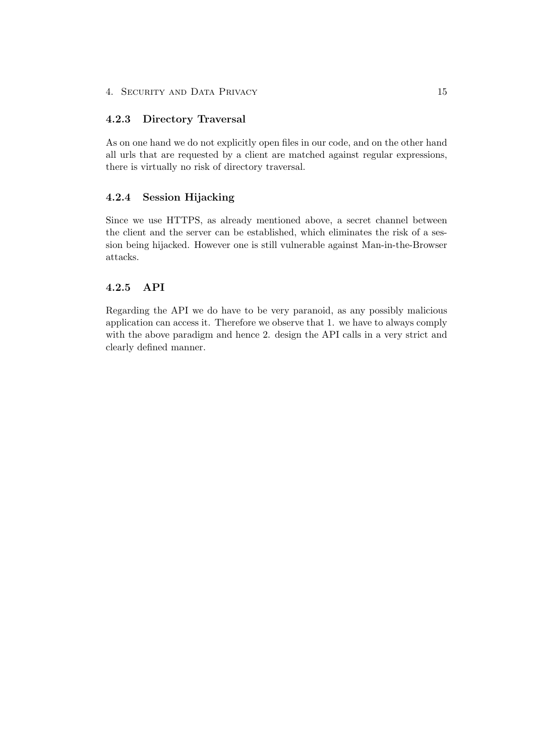#### <span id="page-18-0"></span>4.2.3 Directory Traversal

As on one hand we do not explicitly open files in our code, and on the other hand all urls that are requested by a client are matched against regular expressions, there is virtually no risk of directory traversal.

#### <span id="page-18-1"></span>4.2.4 Session Hijacking

Since we use HTTPS, as already mentioned above, a secret channel between the client and the server can be established, which eliminates the risk of a session being hijacked. However one is still vulnerable against Man-in-the-Browser attacks.

#### <span id="page-18-2"></span>4.2.5 API

Regarding the API we do have to be very paranoid, as any possibly malicious application can access it. Therefore we observe that 1. we have to always comply with the above paradigm and hence 2. design the API calls in a very strict and clearly defined manner.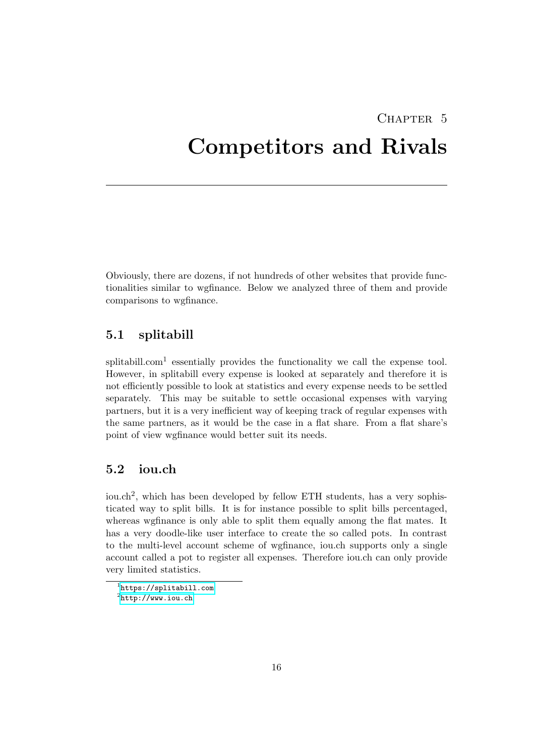## <span id="page-19-0"></span>CHAPTER<sub>5</sub> Competitors and Rivals

Obviously, there are dozens, if not hundreds of other websites that provide functionalities similar to wgfinance. Below we analyzed three of them and provide comparisons to wgfinance.

## <span id="page-19-1"></span>5.1 splitabill

splitabill.com<sup>1</sup> essentially provides the functionality we call the expense tool. However, in splitabill every expense is looked at separately and therefore it is not efficiently possible to look at statistics and every expense needs to be settled separately. This may be suitable to settle occasional expenses with varying partners, but it is a very inefficient way of keeping track of regular expenses with the same partners, as it would be the case in a flat share. From a flat share's point of view wgfinance would better suit its needs.

## <span id="page-19-2"></span>5.2 iou.ch

iou.ch<sup>2</sup>, which has been developed by fellow ETH students, has a very sophisticated way to split bills. It is for instance possible to split bills percentaged, whereas wgfinance is only able to split them equally among the flat mates. It has a very doodle-like user interface to create the so called pots. In contrast to the multi-level account scheme of wgfinance, iou.ch supports only a single account called a pot to register all expenses. Therefore iou.ch can only provide very limited statistics.

<sup>1</sup> <https://splitabill.com>  $^2$ <http://www.iou.ch>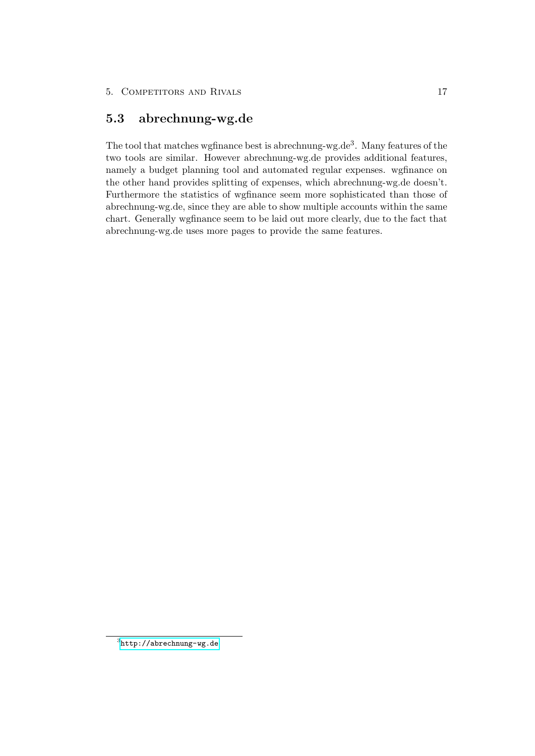## <span id="page-20-0"></span>5.3 abrechnung-wg.de

The tool that matches wgfinance best is abrechnung-wg.de<sup>3</sup>. Many features of the two tools are similar. However abrechnung-wg.de provides additional features, namely a budget planning tool and automated regular expenses. wgfinance on the other hand provides splitting of expenses, which abrechnung-wg.de doesn't. Furthermore the statistics of wgfinance seem more sophisticated than those of abrechnung-wg.de, since they are able to show multiple accounts within the same chart. Generally wgfinance seem to be laid out more clearly, due to the fact that abrechnung-wg.de uses more pages to provide the same features.

 $^3$ <http://abrechnung-wg.de>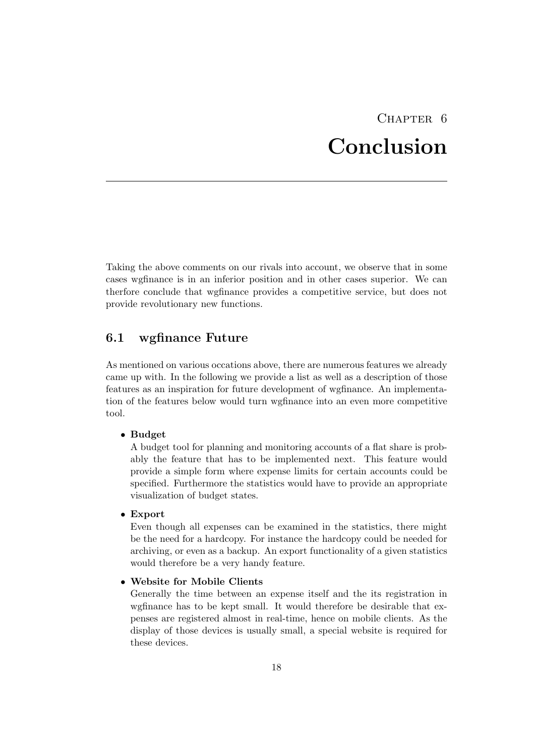## CHAPTER 6 Conclusion

<span id="page-21-0"></span>Taking the above comments on our rivals into account, we observe that in some cases wgfinance is in an inferior position and in other cases superior. We can therfore conclude that wgfinance provides a competitive service, but does not provide revolutionary new functions.

## <span id="page-21-1"></span>6.1 wgfinance Future

As mentioned on various occations above, there are numerous features we already came up with. In the following we provide a list as well as a description of those features as an inspiration for future development of wgfinance. An implementation of the features below would turn wgfinance into an even more competitive tool.

#### • Budget

A budget tool for planning and monitoring accounts of a flat share is probably the feature that has to be implemented next. This feature would provide a simple form where expense limits for certain accounts could be specified. Furthermore the statistics would have to provide an appropriate visualization of budget states.

#### • Export

Even though all expenses can be examined in the statistics, there might be the need for a hardcopy. For instance the hardcopy could be needed for archiving, or even as a backup. An export functionality of a given statistics would therefore be a very handy feature.

#### • Website for Mobile Clients

Generally the time between an expense itself and the its registration in wgfinance has to be kept small. It would therefore be desirable that expenses are registered almost in real-time, hence on mobile clients. As the display of those devices is usually small, a special website is required for these devices.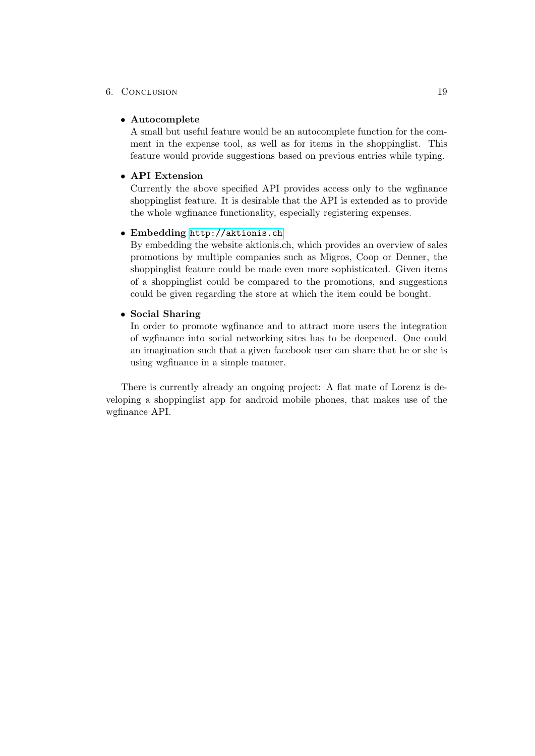#### 6. Conclusion 19

#### • Autocomplete

A small but useful feature would be an autocomplete function for the comment in the expense tool, as well as for items in the shoppinglist. This feature would provide suggestions based on previous entries while typing.

#### • API Extension

Currently the above specified API provides access only to the wgfinance shoppinglist feature. It is desirable that the API is extended as to provide the whole wgfinance functionality, especially registering expenses.

#### • Embedding <http://aktionis.ch>

By embedding the website aktionis.ch, which provides an overview of sales promotions by multiple companies such as Migros, Coop or Denner, the shoppinglist feature could be made even more sophisticated. Given items of a shoppinglist could be compared to the promotions, and suggestions could be given regarding the store at which the item could be bought.

#### • Social Sharing

In order to promote wgfinance and to attract more users the integration of wgfinance into social networking sites has to be deepened. One could an imagination such that a given facebook user can share that he or she is using wgfinance in a simple manner.

There is currently already an ongoing project: A flat mate of Lorenz is developing a shoppinglist app for android mobile phones, that makes use of the wgfinance API.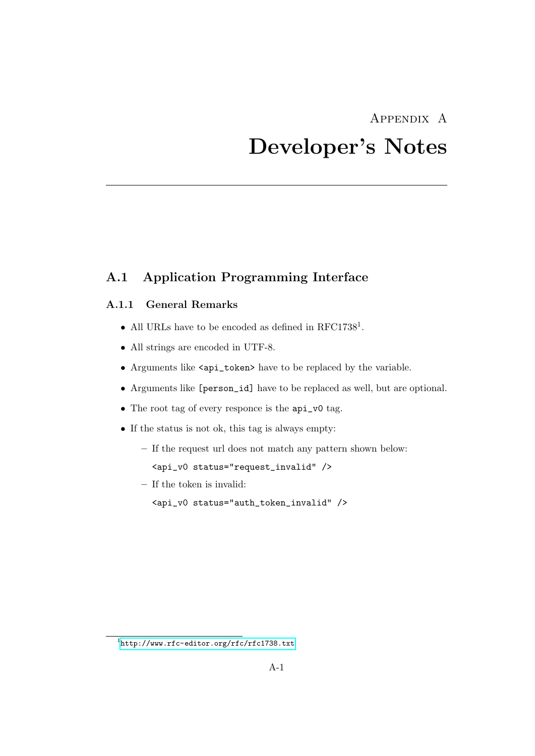## <span id="page-23-0"></span>Appendix A Developer's Notes

## <span id="page-23-1"></span>A.1 Application Programming Interface

### <span id="page-23-2"></span>A.1.1 General Remarks

- All URLs have to be encoded as defined in  $\text{RFC1738}^1$ .
- All strings are encoded in UTF-8.
- Arguments like <api\_token> have to be replaced by the variable.
- Arguments like [person\_id] have to be replaced as well, but are optional.
- The root tag of every responce is the api\_v0 tag.
- If the status is not ok, this tag is always empty:
	- If the request url does not match any pattern shown below: <api\_v0 status="request\_invalid" />
	- If the token is invalid:
		- <api\_v0 status="auth\_token\_invalid" />

 $1$ <http://www.rfc-editor.org/rfc/rfc1738.txt>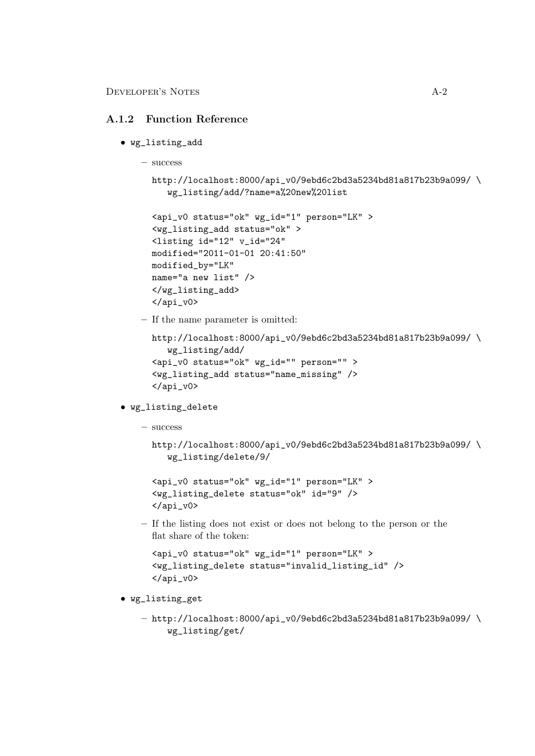Developer's Notes A-2

#### <span id="page-24-0"></span>A.1.2 Function Reference

- wg\_listing\_add
	- success

```
http://localhost:8000/api_v0/9ebd6c2bd3a5234bd81a817b23b9a099/ \
   wg_listing/add/?name=a%20new%20list
```

```
<api_v0 status="ok" wg_id="1" person="LK" >
<wg_listing_add status="ok" >
<listing id="12" v_id="24"
modified="2011-01-01 20:41:50"
modified_by="LK"
name="a new list" />
</wg_listing_add>
\langleapi_v0>
```
– If the name parameter is omitted:

```
http://localhost:8000/api_v0/9ebd6c2bd3a5234bd81a817b23b9a099/ \
   wg_listing/add/
<api_v0 status="ok" wg_id="" person="" >
<wg_listing_add status="name_missing" />
</api_v0>
```
- wg\_listing\_delete
	- success

```
http://localhost:8000/api_v0/9ebd6c2bd3a5234bd81a817b23b9a099/ \
   wg_listing/delete/9/
```

```
<api_v0 status="ok" wg_id="1" person="LK" >
<wg_listing_delete status="ok" id="9" />
</api_v0>
```
– If the listing does not exist or does not belong to the person or the flat share of the token:

```
<api_v0 status="ok" wg_id="1" person="LK" >
<wg_listing_delete status="invalid_listing_id" />
\langleapi_v0>
```
- wg\_listing\_get
	- $-$  http://localhost:8000/api\_v0/9ebd6c2bd3a5234bd81a817b23b9a099/\ wg\_listing/get/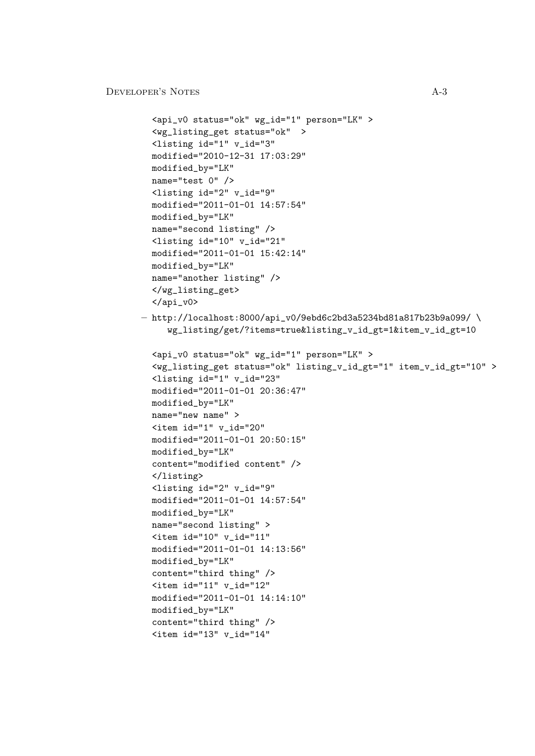```
Developer's Notes A-3
         <api_v0 status="ok" wg_id="1" person="LK" >
         <wg_listing_get status="ok" >
         <listing id="1" v_id="3"
        modified="2010-12-31 17:03:29"
        modified_by="LK"
        name="test 0" />
        <listing id="2" v_id="9"
        modified="2011-01-01 14:57:54"
        modified_by="LK"
        name="second listing" />
        <listing id="10" v_id="21"
        modified="2011-01-01 15:42:14"
        modified_by="LK"
        name="another listing" />
        </wg_listing_get>
        \langleapi \text{v0}- http://localhost:8000/api_v0/9ebd6c2bd3a5234bd81a817b23b9a099/\
           wg_listing/get/?items=true&listing_v_id_gt=1&item_v_id_gt=10
         <api_v0 status="ok" wg_id="1" person="LK" >
         <wg_listing_get status="ok" listing_v_id_gt="1" item_v_id_gt="10" >
        <listing id="1" v_id="23"
        modified="2011-01-01 20:36:47"
        modified_by="LK"
        name="new name" >
        \text{time} id="1" v_id="20"modified="2011-01-01 20:50:15"
        modified_by="LK"
        content="modified content" />
         </listing>
         <listing id="2" v_id="9"
        modified="2011-01-01 14:57:54"
        modified_by="LK"
        name="second listing" >
        \text{time} id="10" v_id="11"
        modified="2011-01-01 14:13:56"
        modified_by="LK"
        content="third thing" />
        \text{time} id="11" v_id="12"
        modified="2011-01-01 14:14:10"
        modified_by="LK"
        content="third thing" />
         <item id="13" v_id="14"
```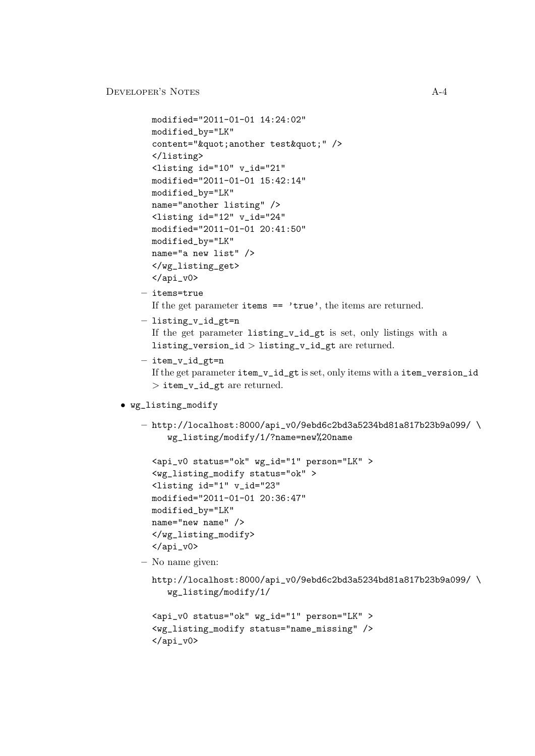```
modified="2011-01-01 14:24:02"
  modified_by="LK"
  content=""another test"" />
  </listing>
  <listing id="10" v_id="21"
 modified="2011-01-01 15:42:14"
 modified_by="LK"
 name="another listing" />
  <listing id="12" v_id="24"
 modified="2011-01-01 20:41:50"
 modified_by="LK"
 name="a new list" />
  </wg_listing_get>
  \langle /api_v0>
– items=true
  If the get parameter items == 'true', the items are returned.
– listing_v_id_gt=n
```

```
If the get parameter listing_v_id_gt is set, only listings with a
listing_version_id > listing_v_id_gt are returned.
```
- $-$  item v id gt=n If the get parameter item\_v\_id\_gt is set, only items with a item\_version\_id > item\_v\_id\_gt are returned.
- wg\_listing\_modify
	- $-$  http://localhost:8000/api\_v0/9ebd6c2bd3a5234bd81a817b23b9a099/\ wg\_listing/modify/1/?name=new%20name

```
<api_v0 status="ok" wg_id="1" person="LK" >
<wg_listing_modify status="ok" >
<listing id="1" v_id="23"
modified="2011-01-01 20:36:47"
modified_by="LK"
name="new name" />
</wg_listing_modify>
\langleapi_v0>
```
– No name given:

```
http://localhost:8000/api_v0/9ebd6c2bd3a5234bd81a817b23b9a099/ \
   wg_listing/modify/1/
```

```
<api_v0 status="ok" wg_id="1" person="LK" >
<wg_listing_modify status="name_missing" />
</api_v0>
```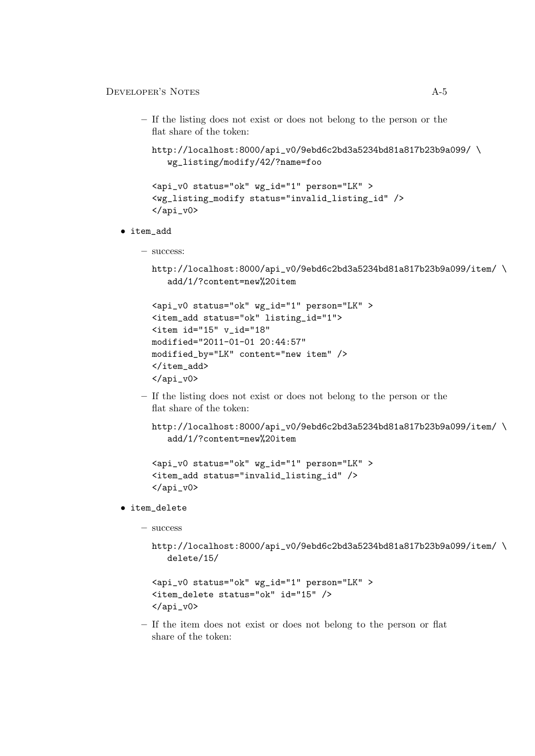– If the listing does not exist or does not belong to the person or the flat share of the token:

```
http://localhost:8000/api_v0/9ebd6c2bd3a5234bd81a817b23b9a099/ \
   wg_listing/modify/42/?name=foo
```

```
<api_v0 status="ok" wg_id="1" person="LK" >
<wg_listing_modify status="invalid_listing_id" />
\langleapi_v0>
```
- item\_add
	- success:

```
http://localhost:8000/api_v0/9ebd6c2bd3a5234bd81a817b23b9a099/item/ \
   add/1/?content=new%20item
```

```
<api_v0 status="ok" wg_id="1" person="LK" >
<item_add status="ok" listing_id="1">
<item id="15" v_id="18"
modified="2011-01-01 20:44:57"
modified_by="LK" content="new item" />
</item_add>
</api_v0>
```
– If the listing does not exist or does not belong to the person or the flat share of the token:

```
http://localhost:8000/api_v0/9ebd6c2bd3a5234bd81a817b23b9a099/item/ \
   add/1/?content=new%20item
```

```
<api_v0 status="ok" wg_id="1" person="LK" >
<item_add status="invalid_listing_id" />
</api_v0>
```
- item\_delete
	- success

```
http://localhost:8000/api_v0/9ebd6c2bd3a5234bd81a817b23b9a099/item/ \
   delete/15/
```

```
<api_v0 status="ok" wg_id="1" person="LK" >
<item_delete status="ok" id="15" />
\langleapi_v0>
```
– If the item does not exist or does not belong to the person or flat share of the token: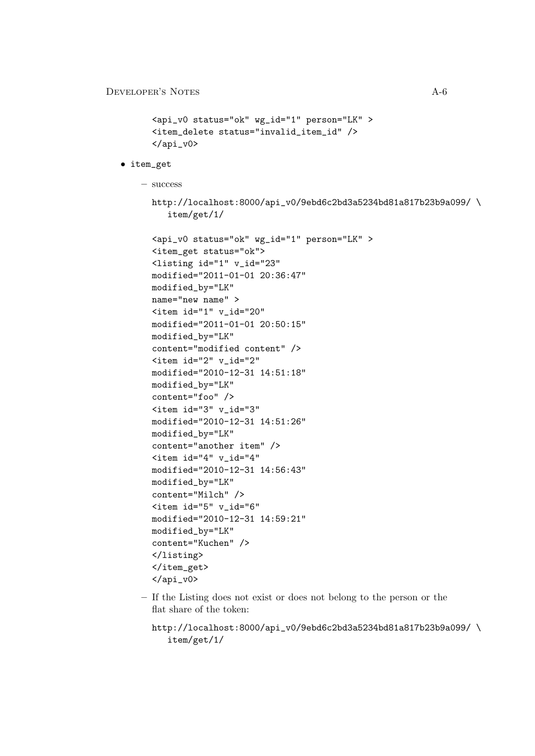```
<api_v0 status="ok" wg_id="1" person="LK" >
<item_delete status="invalid_item_id" />
</api_v0>
```
• item\_get

– success

```
http://localhost:8000/api_v0/9ebd6c2bd3a5234bd81a817b23b9a099/ \
   item/get/1/
```

```
<api_v0 status="ok" wg_id="1" person="LK" >
<item_get status="ok">
<listing id="1" v_id="23"
modified="2011-01-01 20:36:47"
modified_by="LK"
name="new name" >
\text{time} id="1" v_id="20"modified="2011-01-01 20:50:15"
modified_by="LK"
content="modified content" />
<item id="2" v_id="2"
modified="2010-12-31 14:51:18"
modified_by="LK"
content="foo" />
<item id="3" v_id="3"
modified="2010-12-31 14:51:26"
modified_by="LK"
content="another item" />
<item id="4" v_id="4"
modified="2010-12-31 14:56:43"
modified_by="LK"
content="Milch" />
<item id="5" v_id="6"
modified="2010-12-31 14:59:21"
modified_by="LK"
content="Kuchen" />
</listing>
</item_get>
\langleapi_v0>
```
– If the Listing does not exist or does not belong to the person or the flat share of the token:

```
http://localhost:8000/api_v0/9ebd6c2bd3a5234bd81a817b23b9a099/ \
   item/get/1/
```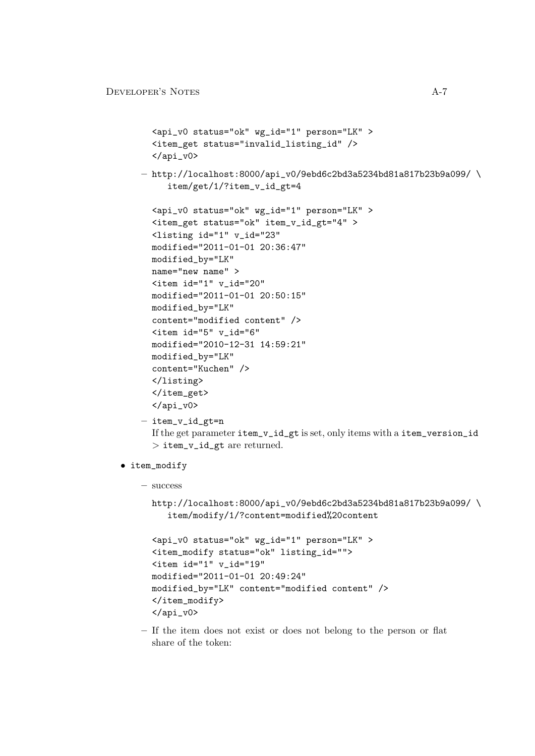```
<api_v0 status="ok" wg_id="1" person="LK" >
  <item_get status="invalid_listing_id" />
  \langleapi \nu0>
– http://localhost:8000/api_v0/9ebd6c2bd3a5234bd81a817b23b9a099/ \
     item/get/1/?item_v_id_gt=4
  <api_v0 status="ok" wg_id="1" person="LK" >
  <item_get status="ok" item_v_id_gt="4" >
  <listing id="1" v_id="23"
  modified="2011-01-01 20:36:47"
 modified_by="LK"
 name="new name" >
  \text{time} id="1" v\_id="20"modified="2011-01-01 20:50:15"
 modified_by="LK"
 content="modified content" />
  <item id="5" v_id="6"
 modified="2010-12-31 14:59:21"
 modified_by="LK"
  content="Kuchen" />
  </listing>
  </item_get>
  \langleapi_v0>
– item_v_id_gt=n
  If the get parameter item_v_id_gt is set, only items with a item_version_id
```

```
> item_v_id_gt are returned.
```
- item\_modify
	- success

```
http://localhost:8000/api_v0/9ebd6c2bd3a5234bd81a817b23b9a099/ \
   item/modify/1/?content=modified%20content
```

```
<api_v0 status="ok" wg_id="1" person="LK" >
<item_modify status="ok" listing_id="">
<item id="1" v_id="19"
modified="2011-01-01 20:49:24"
modified_by="LK" content="modified content" />
</item_modify>
</api_v0>
```
– If the item does not exist or does not belong to the person or flat share of the token: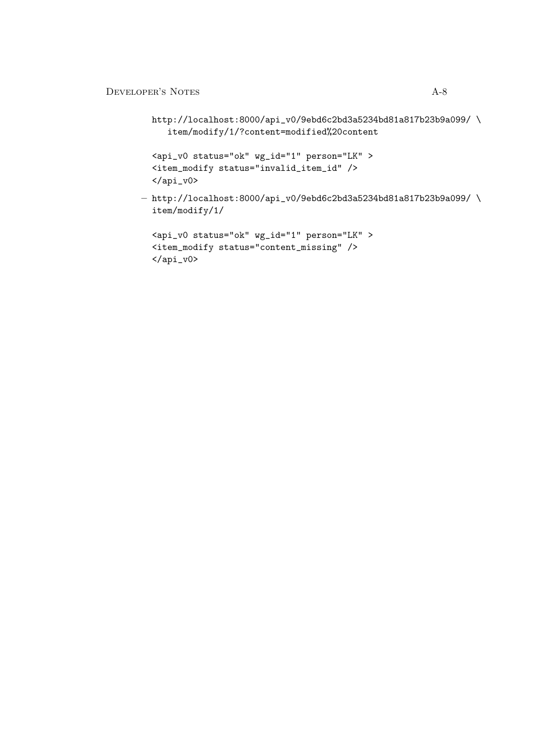```
http://localhost:8000/api_v0/9ebd6c2bd3a5234bd81a817b23b9a099/ \
   item/modify/1/?content=modified%20content
```

```
<api_v0 status="ok" wg_id="1" person="LK" >
<item_modify status="invalid_item_id" />
\langle /api_v0>
```

```
- http://localhost:8000/api_v0/9ebd6c2bd3a5234bd81a817b23b9a099/\
  item/modify/1/
```

```
<api_v0 status="ok" wg_id="1" person="LK" >
<item_modify status="content_missing" />
\langle /api_v0>
```